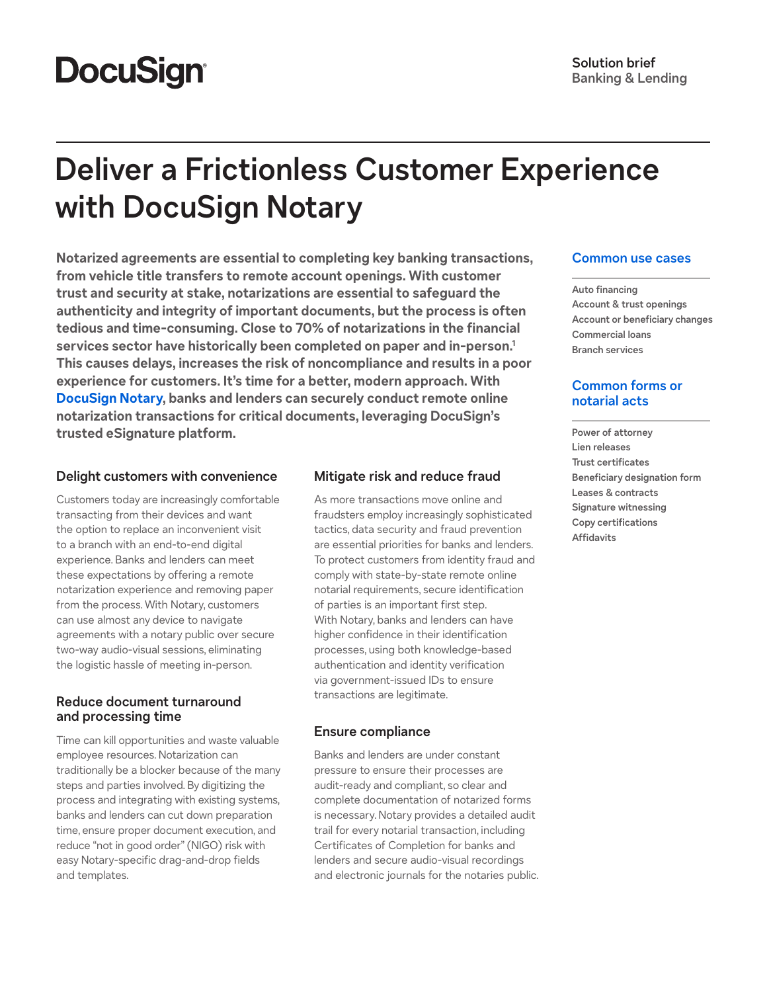# **DocuSign®**

## **Deliver a Frictionless Customer Experience with DocuSign Notary**

**Notarized agreements are essential to completing key banking transactions, from vehicle title transfers to remote account openings. With customer trust and security at stake, notarizations are essential to safeguard the authenticity and integrity of important documents, but the process is often tedious and time-consuming. Close to 70% of notarizations in the financial services sector have historically been completed on paper and in-person.1 This causes delays, increases the risk of noncompliance and results in a poor experience for customers. It's time for a better, modern approach. With [DocuSign Notary,](https://www.docusign.com/products/notary) banks and lenders can securely conduct remote online notarization transactions for critical documents, leveraging DocuSign's trusted eSignature platform.**

#### **Delight customers with convenience**

Customers today are increasingly comfortable transacting from their devices and want the option to replace an inconvenient visit to a branch with an end-to-end digital experience. Banks and lenders can meet these expectations by offering a remote notarization experience and removing paper from the process. With Notary, customers can use almost any device to navigate agreements with a notary public over secure two-way audio-visual sessions, eliminating the logistic hassle of meeting in-person.

#### **Reduce document turnaround and processing time**

Time can kill opportunities and waste valuable employee resources. Notarization can traditionally be a blocker because of the many steps and parties involved. By digitizing the process and integrating with existing systems, banks and lenders can cut down preparation time, ensure proper document execution, and reduce "not in good order" (NIGO) risk with easy Notary-specific drag-and-drop fields and templates.

#### **Mitigate risk and reduce fraud**

As more transactions move online and fraudsters employ increasingly sophisticated tactics, data security and fraud prevention are essential priorities for banks and lenders. To protect customers from identity fraud and comply with state-by-state remote online notarial requirements, secure identification of parties is an important first step. With Notary, banks and lenders can have higher confidence in their identification processes, using both knowledge-based authentication and identity verification via government-issued IDs to ensure transactions are legitimate.

#### **Ensure compliance**

Banks and lenders are under constant pressure to ensure their processes are audit-ready and compliant, so clear and complete documentation of notarized forms is necessary. Notary provides a detailed audit trail for every notarial transaction, including Certificates of Completion for banks and lenders and secure audio-visual recordings and electronic journals for the notaries public.

#### **Common use cases**

**Auto financing Account & trust openings Account or beneficiary changes Commercial loans Branch services**

#### **Common forms or notarial acts**

**Power of attorney Lien releases Trust certificates Beneficiary designation form Leases & contracts Signature witnessing Copy certifications Affidavits**